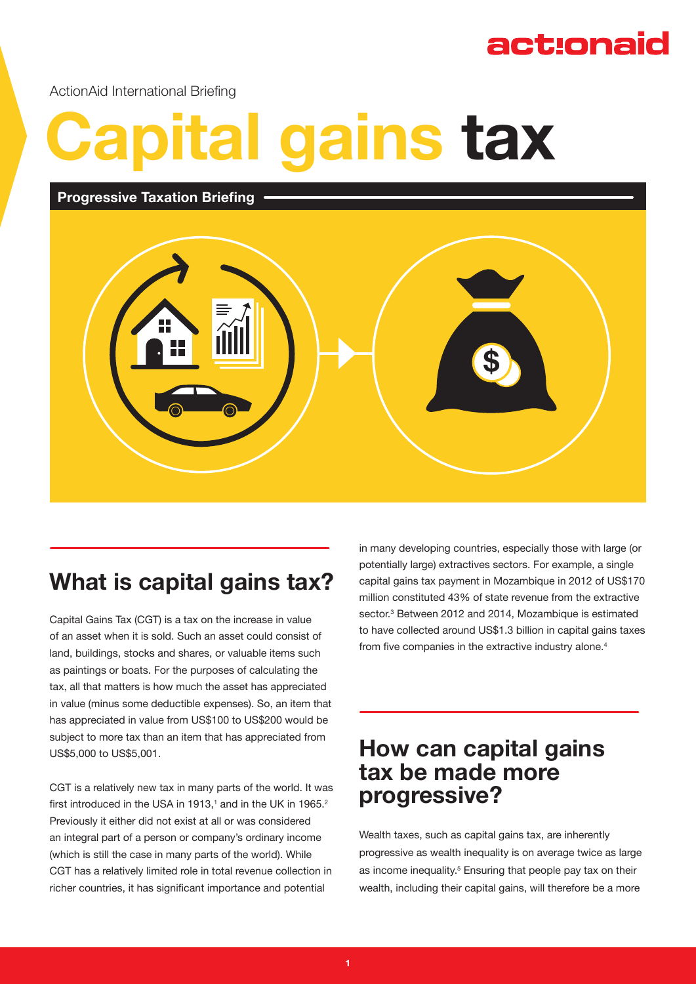## act:onaid

ActionAid International Briefing

# **Capital gains tax**

#### **Progressive Taxation Briefing**



## **What is capital gains tax?**

Capital Gains Tax (CGT) is a tax on the increase in value of an asset when it is sold. Such an asset could consist of land, buildings, stocks and shares, or valuable items such as paintings or boats. For the purposes of calculating the tax, all that matters is how much the asset has appreciated in value (minus some deductible expenses). So, an item that has appreciated in value from US\$100 to US\$200 would be subject to more tax than an item that has appreciated from US\$5,000 to US\$5,001.

CGT is a relatively new tax in many parts of the world. It was first introduced in the USA in 1913,<sup>1</sup> and in the UK in 1965.<sup>2</sup> Previously it either did not exist at all or was considered an integral part of a person or company's ordinary income (which is still the case in many parts of the world). While CGT has a relatively limited role in total revenue collection in richer countries, it has significant importance and potential

in many developing countries, especially those with large (or potentially large) extractives sectors. For example, a single capital gains tax payment in Mozambique in 2012 of US\$170 million constituted 43% of state revenue from the extractive sector.<sup>3</sup> Between 2012 and 2014, Mozambique is estimated to have collected around US\$1.3 billion in capital gains taxes from five companies in the extractive industry alone.<sup>4</sup>

### **How can capital gains tax be made more progressive?**

Wealth taxes, such as capital gains tax, are inherently progressive as wealth inequality is on average twice as large as income inequality.<sup>5</sup> Ensuring that people pay tax on their wealth, including their capital gains, will therefore be a more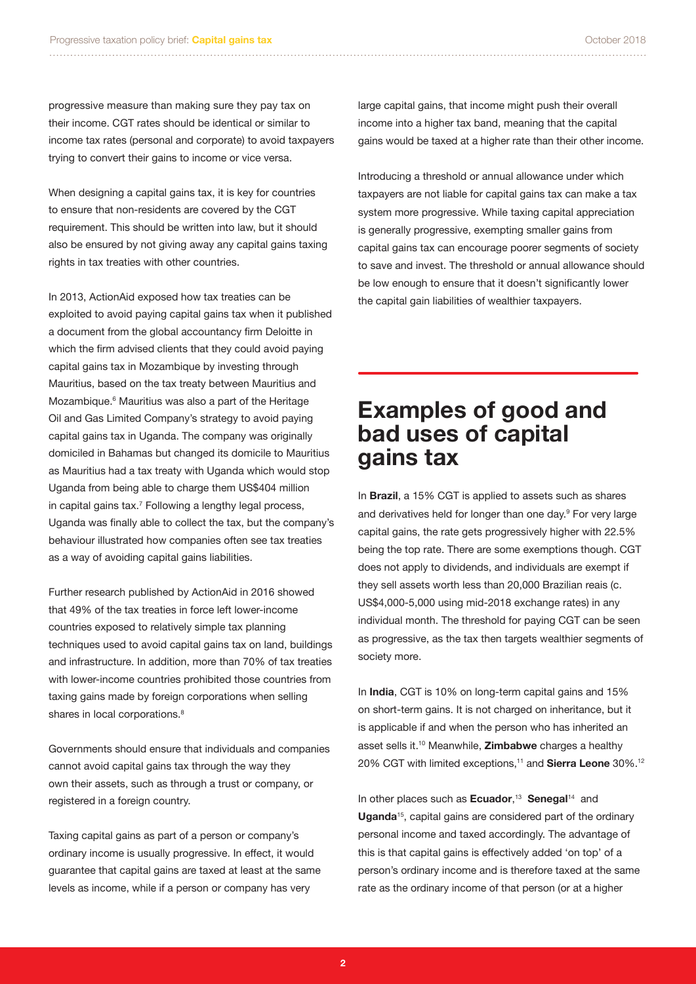progressive measure than making sure they pay tax on their income. CGT rates should be identical or similar to income tax rates (personal and corporate) to avoid taxpayers trying to convert their gains to income or vice versa.

When designing a capital gains tax, it is key for countries to ensure that non-residents are covered by the CGT requirement. This should be written into law, but it should also be ensured by not giving away any capital gains taxing rights in tax treaties with other countries.

In 2013, ActionAid exposed how tax treaties can be exploited to avoid paying capital gains tax when it published a document from the global accountancy firm Deloitte in which the firm advised clients that they could avoid paying capital gains tax in Mozambique by investing through Mauritius, based on the tax treaty between Mauritius and Mozambique.<sup>6</sup> Mauritius was also a part of the Heritage Oil and Gas Limited Company's strategy to avoid paying capital gains tax in Uganda. The company was originally domiciled in Bahamas but changed its domicile to Mauritius as Mauritius had a tax treaty with Uganda which would stop Uganda from being able to charge them US\$404 million in capital gains tax.7 Following a lengthy legal process, Uganda was finally able to collect the tax, but the company's behaviour illustrated how companies often see tax treaties as a way of avoiding capital gains liabilities.

Further research published by ActionAid in 2016 showed that 49% of the tax treaties in force left lower-income countries exposed to relatively simple tax planning techniques used to avoid capital gains tax on land, buildings and infrastructure. In addition, more than 70% of tax treaties with lower-income countries prohibited those countries from taxing gains made by foreign corporations when selling shares in local corporations.<sup>8</sup>

Governments should ensure that individuals and companies cannot avoid capital gains tax through the way they own their assets, such as through a trust or company, or registered in a foreign country.

Taxing capital gains as part of a person or company's ordinary income is usually progressive. In effect, it would guarantee that capital gains are taxed at least at the same levels as income, while if a person or company has very

large capital gains, that income might push their overall income into a higher tax band, meaning that the capital gains would be taxed at a higher rate than their other income.

Introducing a threshold or annual allowance under which taxpayers are not liable for capital gains tax can make a tax system more progressive. While taxing capital appreciation is generally progressive, exempting smaller gains from capital gains tax can encourage poorer segments of society to save and invest. The threshold or annual allowance should be low enough to ensure that it doesn't significantly lower the capital gain liabilities of wealthier taxpayers.

#### **Examples of good and bad uses of capital gains tax**

In **Brazil**, a 15% CGT is applied to assets such as shares and derivatives held for longer than one day.<sup>9</sup> For very large capital gains, the rate gets progressively higher with 22.5% being the top rate. There are some exemptions though. CGT does not apply to dividends, and individuals are exempt if they sell assets worth less than 20,000 Brazilian reais (c. US\$4,000-5,000 using mid-2018 exchange rates) in any individual month. The threshold for paying CGT can be seen as progressive, as the tax then targets wealthier segments of society more.

In **India**, CGT is 10% on long-term capital gains and 15% on short-term gains. It is not charged on inheritance, but it is applicable if and when the person who has inherited an asset sells it.10 Meanwhile, **Zimbabwe** charges a healthy 20% CGT with limited exceptions,11 and **Sierra Leone** 30%.<sup>12</sup>

In other places such as **Ecuador**, <sup>13</sup> **Senegal**14 and **Uganda**15, capital gains are considered part of the ordinary personal income and taxed accordingly. The advantage of this is that capital gains is effectively added 'on top' of a person's ordinary income and is therefore taxed at the same rate as the ordinary income of that person (or at a higher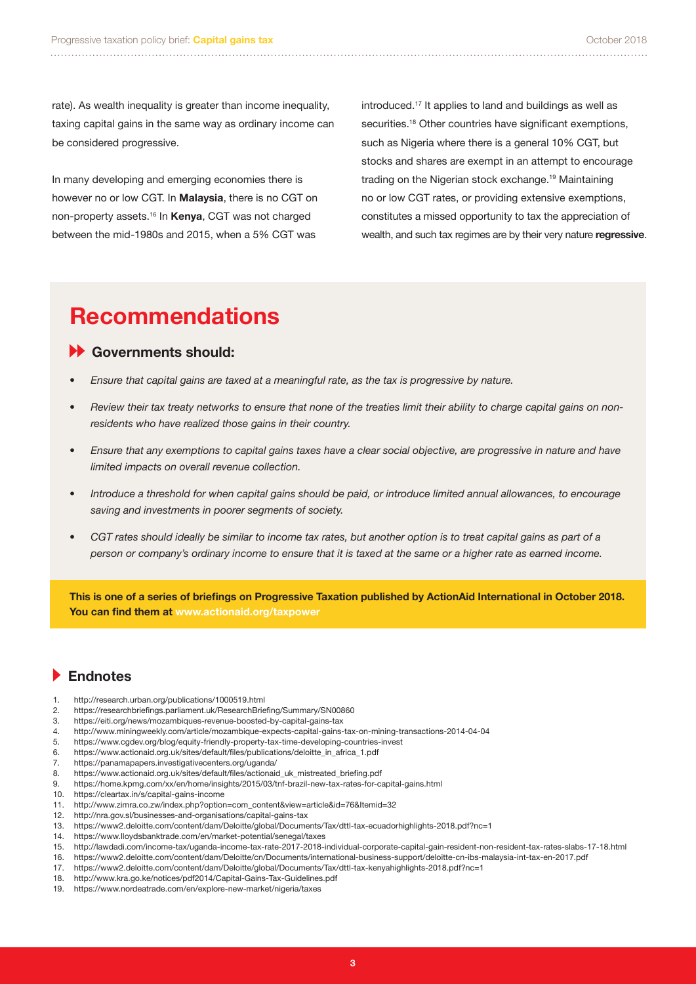rate). As wealth inequality is greater than income inequality, taxing capital gains in the same way as ordinary income can be considered progressive.

In many developing and emerging economies there is however no or low CGT. In **Malaysia**, there is no CGT on non-property assets.<sup>16</sup> In **Kenya**, CGT was not charged between the mid-1980s and 2015, when a 5% CGT was

introduced.17 It applies to land and buildings as well as securities.<sup>18</sup> Other countries have significant exemptions, such as Nigeria where there is a general 10% CGT, but stocks and shares are exempt in an attempt to encourage trading on the Nigerian stock exchange.<sup>19</sup> Maintaining no or low CGT rates, or providing extensive exemptions, constitutes a missed opportunity to tax the appreciation of wealth, and such tax regimes are by their very nature **regressive**.

## **Recommendations**

#### **Governments should:**

- *• Ensure that capital gains are taxed at a meaningful rate, as the tax is progressive by nature.*
- *• Review their tax treaty networks to ensure that none of the treaties limit their ability to charge capital gains on nonresidents who have realized those gains in their country.*
- *• Ensure that any exemptions to capital gains taxes have a clear social objective, are progressive in nature and have limited impacts on overall revenue collection.*
- *• Introduce a threshold for when capital gains should be paid, or introduce limited annual allowances, to encourage saving and investments in poorer segments of society.*
- *• CGT rates should ideally be similar to income tax rates, but another option is to treat capital gains as part of a person or company's ordinary income to ensure that it is taxed at the same or a higher rate as earned income.*

**This is one of a series of briefings on Progressive Taxation published by ActionAid International in October 2018. You can find them at www.actionaid.org/taxpower**

#### **Endnotes**

- 1. http://research.urban.org/publications/1000519.html
- 2. https://researchbriefings.parliament.uk/ResearchBriefing/Summary/SN00860
- 3. https://eiti.org/news/mozambiques-revenue-boosted-by-capital-gains-tax
- 4. http://www.miningweekly.com/article/mozambique-expects-capital-gains-tax-on-mining-transactions-2014-04-04
- 5. https://www.cgdev.org/blog/equity-friendly-property-tax-time-developing-countries-invest
- 6. https://www.actionaid.org.uk/sites/default/files/publications/deloitte\_in\_africa\_1.pdf
- 7. https://panamapapers.investigativecenters.org/uganda/
- 8. https://www.actionaid.org.uk/sites/default/files/actionaid\_uk\_mistreated\_briefing.pdf
- 9. https://home.kpmg.com/xx/en/home/insights/2015/03/tnf-brazil-new-tax-rates-for-capital-gains.html
- 10. https://cleartax.in/s/capital-gains-income
- 11. http://www.zimra.co.zw/index.php?option=com\_content&view=article&id=76&Itemid=32
- 12. http://nra.gov.sl/businesses-and-organisations/capital-gains-tax
- 13. https://www2.deloitte.com/content/dam/Deloitte/global/Documents/Tax/dttl-tax-ecuadorhighlights-2018.pdf?nc=1
- 14. https://www.lloydsbanktrade.com/en/market-potential/senegal/taxes
- 15. http://lawdadi.com/income-tax/uganda-income-tax-rate-2017-2018-individual-corporate-capital-gain-resident-non-resident-tax-rates-slabs-17-18.html
- 16. https://www2.deloitte.com/content/dam/Deloitte/cn/Documents/international-business-support/deloitte-cn-ibs-malaysia-int-tax-en-2017.pdf
- 17. https://www2.deloitte.com/content/dam/Deloitte/global/Documents/Tax/dttl-tax-kenyahighlights-2018.pdf?nc=1
- 18. http://www.kra.go.ke/notices/pdf2014/Capital-Gains-Tax-Guidelines.pdf
- 19. https://www.nordeatrade.com/en/explore-new-market/nigeria/taxes